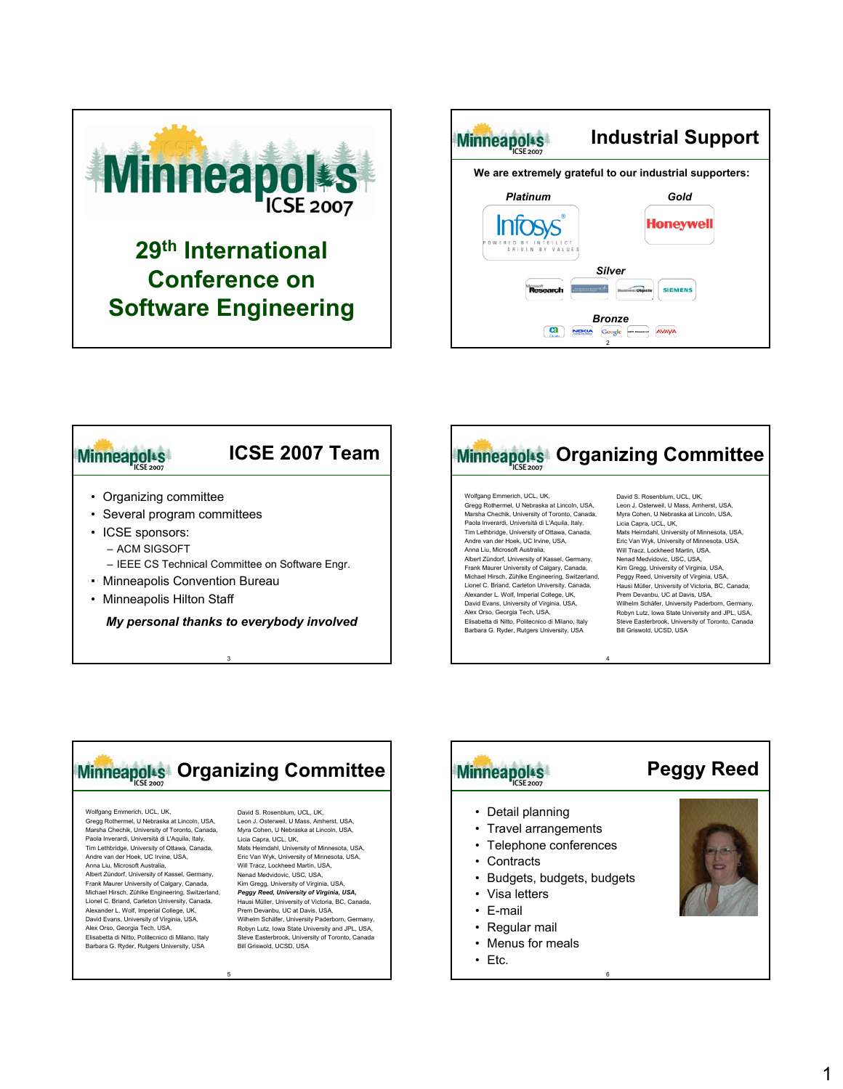

### **29th International Conference on Software Engineering**



### **Minneapol**<sup>s</sup>

### • Organizing committee

- Several program committees
- ICSE sponsors:
	- ACM SIGSOFT
	- IEEE CS Technical Committee on Software Engr.

**ICSE 2007 Team**

- Minneapolis Convention Bureau
- Minneapolis Hilton Staff

*My personal thanks to everybody involved*

3



4

6

#### Wolfgang Emmerich, UCL, UK, Gregg Rothermel, U Nebraska at Lincoln, USA, Marsha Chechik, University of Toronto, Canada, Paola Inverardi, Universitá di L'Aquila, Italy, Tim Lethbridge, University of Ottawa, Canada, Andre van der Hoek, UC Irvine, USA, Anna Liu, Microsoft Australia, Albert Zündorf, University of Kassel, Germany, Frank Maurer University of Calgary, Canada, Michael Hirsch, Zühlke Engineering, Switzerland, Lionel C. Briand, Carleton University, Canada, Alexander L. Wolf, Imperial College, UK, David Evans, University of Virginia, USA, Alex Orso, Georgia Tech, USA, Elisabetta di Nitto, Politecnico di Milano, Italy Barbara G. Ryder, Rutgers University, USA

David S. Rosenblum, UCL, UK Leon J. Osterweil, U Mass, Amherst, USA, Myra Cohen, U Nebraska at Lincoln, USA, Licia Capra, UCL, UK, Mats Heimdahl, University of Minnesota, USA, Eric Van Wyk, University of Minnesota, USA, Will Tracz, Lockheed Martin, USA, Nenad Medvidovic, USC, USA, Kim Gregg, University of Virginia, USA, Peggy Reed, University of Virginia, USA, Hausi Müller, University of Victoria, BC, Canada, Prem Devanbu, UC at Davis, USA, Wilhelm Schäfer, University Paderborn, Germany, Robyn Lutz, Iowa State University and JPL, USA, Steve Easterbrook, University of Toronto, Canada Bill Griswold, UCSD, USA



## Minneapolts

- Detail planning
- Travel arrangements
- Telephone conferences
- Contracts
- Budgets, budgets, budgets
- Visa letters
- E-mail
- Regular mail
- Menus for meals
- Etc.

**Peggy Reed**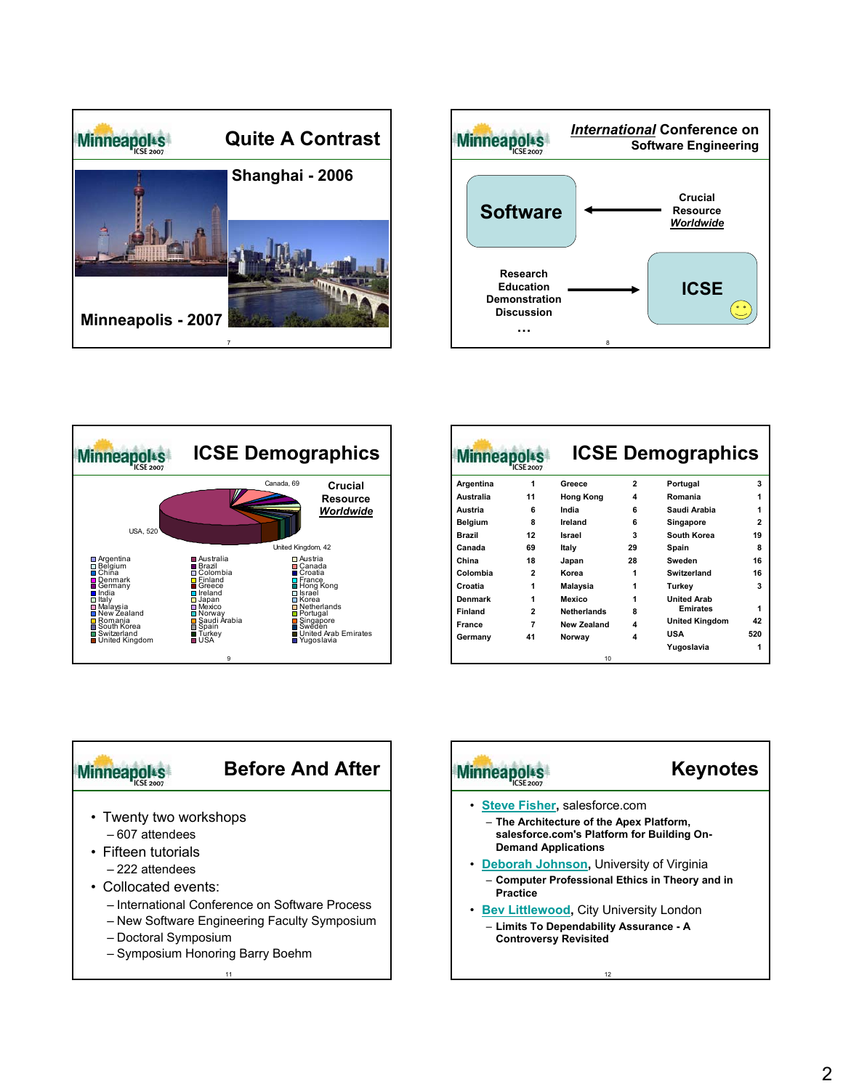





| linneapo<br><b>CSE 2007</b> |                    |    |                       |                          |
|-----------------------------|--------------------|----|-----------------------|--------------------------|
| 1                           | Greece             | 2  | Portugal              | 3                        |
| 11                          | <b>Hong Kong</b>   | 4  | Romania               | 1                        |
| 6                           | India              | 6  | Saudi Arabia          | 1                        |
| 8                           | Ireland            | 6  | Singapore             | 2                        |
| 12                          | Israel             | 3  | South Korea           | 19                       |
| 69                          | Italy              | 29 | Spain                 | R                        |
| 18                          | Japan              | 28 | Sweden                | 16                       |
| $\overline{2}$              | Korea              | 1  | Switzerland           | 16                       |
| 1                           | Malaysia           | 1  | Turkey                | 3                        |
| 1                           | Mexico             | 1  | <b>United Arah</b>    |                          |
| $\overline{2}$              | <b>Netherlands</b> | 8  | <b>Emirates</b>       | 1                        |
| 7                           | New Zealand        | 4  | <b>United Kingdom</b> | 42                       |
| 41                          | Norway             | 4  | USA                   | 520                      |
|                             |                    |    | Yugoslavia            |                          |
|                             |                    | 10 |                       | <b>ICSE Demographics</b> |



| <b>Minneapo</b>                                                                                                            | <b>Keynotes</b> |
|----------------------------------------------------------------------------------------------------------------------------|-----------------|
| · Steve Fisher, salesforce.com<br>- The Architecture of the Apex Platform,<br>salesforce.com's Platform for Building On-   |                 |
| <b>Demand Applications</b><br>• Deborah Johnson, University of Virginia<br>- Computer Professional Ethics in Theory and in |                 |
| <b>Practice</b><br>• Bev Littlewood, City University London                                                                |                 |
| - Limits To Dependability Assurance - A<br><b>Controversy Revisited</b>                                                    |                 |
| 12                                                                                                                         |                 |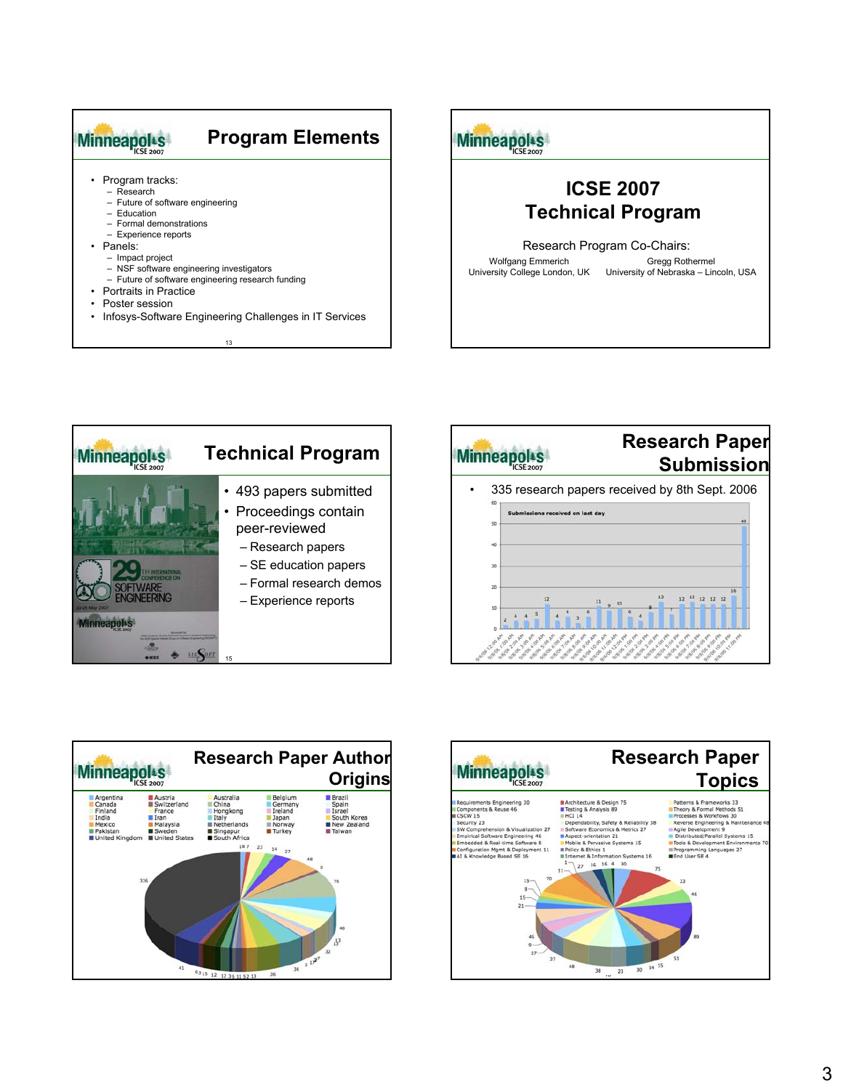

# Minneapols

### **ICSE 2007 Technical Program**

Research Program Co-Chairs:

Wolfgang Emmerich University College London, UK

Gregg Rothermel University of Nebraska – Lincoln, USA







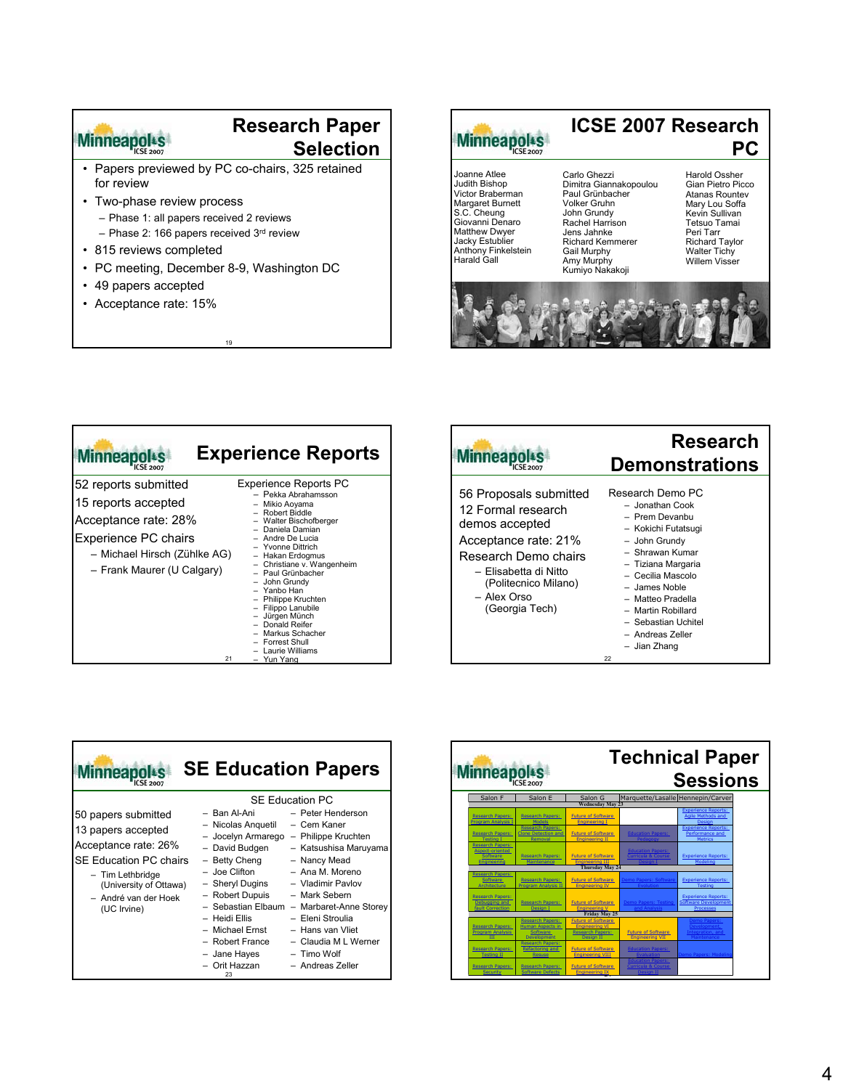### Minneapolts

#### **Research Paper Selection**

- Papers previewed by PC co-chairs, 325 retained for review
- Two-phase review process
	- Phase 1: all papers received 2 reviews
	- Phase 2: 166 papers received 3rd review
- 815 reviews completed
- PC meeting, December 8-9, Washington DC

19

- 49 papers accepted
- Acceptance rate: 15%



#### **ICSE 2007 Research PC**

Joanne Atlee Judith Bishop Victor Braberman Margaret Burnett S.C. Cheung Giovanni Denaro Matthew Dwyer Jacky Estublier Anthony Finkelstein Harald Gall

Carlo Ghezzi Dimitra Giannakopoulou Paul Grünbacher Volker Gruhn John Grundy Rachel Harrison Jens Jahnke Richard Kemmerer Gail Murphy Amy Murphy Kumiyo Nakakoji

Harold Ossher Gian Pietro Picco Atanas Rountev Mary Lou Soffa Kevin Sullivan Tetsuo Tamai Peri Tarr Richard Taylor Walter Tichy Willem Visser



| <b>Minneapo</b>                                                                                                                                           | <b>Experience Reports</b>                                                                                                                                                                                                                                                                                                                                                                                           |
|-----------------------------------------------------------------------------------------------------------------------------------------------------------|---------------------------------------------------------------------------------------------------------------------------------------------------------------------------------------------------------------------------------------------------------------------------------------------------------------------------------------------------------------------------------------------------------------------|
| 52 reports submitted<br>15 reports accepted<br>Acceptance rate: 28%<br>Experience PC chairs<br>- Michael Hirsch (Zühlke AG)<br>- Frank Maurer (U Calgary) | <b>Experience Reports PC</b><br>- Pekka Abrahamsson<br>Mikio Aoyama<br>- Robert Biddle<br>Walter Bischofberger<br>Daniela Damian<br>- Andre De Lucia<br>- Yvonne Dittrich<br>- Hakan Erdogmus<br>Christiane v. Wangenheim<br>- Paul Grünbacher<br>John Grundy<br>- Yanbo Han<br>- Philippe Kruchten<br>Filippo Lanubile<br>- Jürgen Münch<br>- Donald Reifer<br>Markus Schacher<br>Forrest Shull<br>Laurie Williams |
| 21                                                                                                                                                        | - Yun Yang                                                                                                                                                                                                                                                                                                                                                                                                          |



| <b>Ainneap</b>                                                                                                                                                                          | <b>SE Education Papers</b>                                                                                                                                                                                                                                       |                                                                                                                                                                                                                                                                                                                  |
|-----------------------------------------------------------------------------------------------------------------------------------------------------------------------------------------|------------------------------------------------------------------------------------------------------------------------------------------------------------------------------------------------------------------------------------------------------------------|------------------------------------------------------------------------------------------------------------------------------------------------------------------------------------------------------------------------------------------------------------------------------------------------------------------|
| 50 papers submitted<br>13 papers accepted<br>Acceptance rate: 26%<br><b>SE Education PC chairs</b><br>- Tim Lethbridge<br>(University of Ottawa)<br>- André van der Hoek<br>(UC Irvine) | – Ban Al-Ani<br>- Nicolas Anguetil<br>- Jocelyn Armarego<br>- David Budgen<br>- Betty Cheng<br>– Joe Clifton<br>- Sheryl Dugins<br>- Robert Dupuis<br>- Sebastian Elbaum<br>– Heidi Ellis<br>- Michael Ernst<br>- Robert France<br>- Jane Hayes<br>- Orit Hazzan | <b>SE Education PC</b><br>- Peter Henderson<br>- Cem Kaner<br>- Philippe Kruchten<br>- Katsushisa Maruyama<br>- Nancy Mead<br>- Ana M. Moreno<br>- Vladimir Pavlov<br>- Mark Sebern<br>- Marbaret-Anne Storey<br>- Eleni Stroulia<br>- Hans van Vliet<br>- Claudia M L Werner<br>- Timo Wolf<br>- Andreas Zeller |

| <b>Technical Paper</b><br>Minneapolts<br><b>Sessions</b> |                                                       |                                                     |                                                |                                                           |  |
|----------------------------------------------------------|-------------------------------------------------------|-----------------------------------------------------|------------------------------------------------|-----------------------------------------------------------|--|
| Salon F                                                  | Salon E                                               | Salon G                                             | Marquette/Lasalle Hennepin/Carver              |                                                           |  |
|                                                          |                                                       | <b>Wednesday May 23</b>                             |                                                |                                                           |  |
| <b>Research Papers:</b><br><b>Program Analysis I</b>     | <b>Research Papers:</b><br>Models                     | <b>Future of Software</b><br><b>Engineering I</b>   |                                                | <b>Experience Reports:</b><br>Agile Methods and<br>Design |  |
| <b>Research Papers:</b>                                  | <b>Research Papers:</b><br><b>Clone Detection and</b> | <b>Future of Software</b>                           | <b>Education Papers:</b>                       | <b>Experience Reports:</b><br>Performance and             |  |
| <b>Testing I</b>                                         | Removal                                               | <b>Engineering II</b>                               | Pedagogy                                       | <b>Metrics</b>                                            |  |
| <b>Research Papers:</b><br>Aspect-oriented               |                                                       |                                                     | <b>Education Papers:</b><br>Curricula & Course |                                                           |  |
| Software<br><b>Engineering</b>                           | <b>Research Papers:</b><br>Maintenance                | <b>Future of Software</b><br><b>Engineering III</b> | Design I                                       | <b>Experience Reports:</b><br>Modeling                    |  |
|                                                          |                                                       | <b>Thursday May 24</b>                              |                                                |                                                           |  |
| <b>Research Papers:</b>                                  |                                                       |                                                     |                                                |                                                           |  |
| Software<br>Architecture                                 | <b>Research Papers:</b><br><b>Program Analysis II</b> | <b>Future of Software</b><br><b>Engineering IV</b>  | Demo Papers: Software<br>Evolution             | <b>Experience Reports:</b><br><b>Testing</b>              |  |
| <b>Research Papers:</b>                                  |                                                       |                                                     |                                                | <b>Experience Reports:</b>                                |  |
| Debugging and<br><b>fault Correction</b>                 | <b>Research Papers:</b><br>Design 1                   | <b>Future of Software</b><br><b>Engineering V</b>   | Demo Papers: Testing<br>and Analysis           | <b>Software Development</b>                               |  |
|                                                          |                                                       | Friday May 25                                       |                                                | Processes                                                 |  |
|                                                          | <b>Research Papers:</b>                               | <b>Future of Software</b>                           |                                                |                                                           |  |
| <b>Research Papers:</b>                                  | <b>Human Aspects in</b>                               | <b>Engineering VI</b>                               |                                                | Demo Papers:<br>Development.                              |  |
| Program Analysis                                         | <b>Software</b>                                       | <b>Research Papers:</b>                             | <b>Future of Software</b>                      | Integration, and                                          |  |
| <b>TIT</b>                                               | <b>Development</b>                                    | <b>Design II</b>                                    | <b>Engineering VII</b>                         | Maintenance                                               |  |
|                                                          | <b>Research Papers:</b>                               |                                                     |                                                |                                                           |  |
| <b>Research Papers:</b>                                  | Refactoring and                                       | <b>Future of Software</b>                           | <b>Education Papers:</b>                       |                                                           |  |
| <b>Testing II</b>                                        | Resuse                                                | <b>Engineering VIII</b>                             | Evaluation                                     | Demo Papers: Modeling                                     |  |
|                                                          |                                                       |                                                     | <b>Education Papers:</b>                       |                                                           |  |
| <b>Research Papers:</b>                                  | <b>Research Papers:</b>                               | <b>Future of Software</b>                           | <b>Curricula &amp; Course</b>                  |                                                           |  |
| <b>Security</b>                                          | <b>Software Defects</b>                               | <b>Engineering IX</b>                               | Design II                                      |                                                           |  |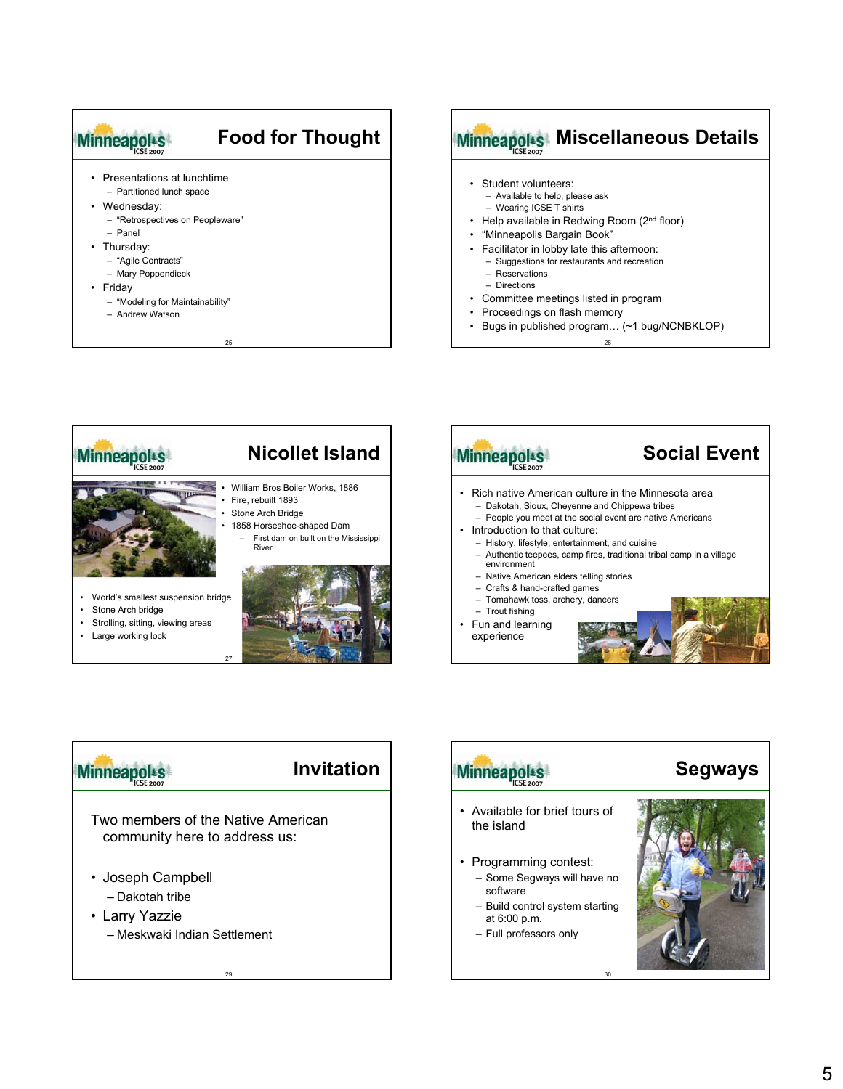

#### **Minneapolis Miscellaneous Details** • Student volunteers: – Available to help, please ask – Wearing ICSE T shirts • Help available in Redwing Room (2<sup>nd</sup> floor) • "Minneapolis Bargain Book" • Facilitator in lobby late this afternoon: – Suggestions for restaurants and recreation • Committee meetings listed in program

- Proceedings on flash memory
- Bugs in published program... (~1 bug/NCNBKLOP)

26



### Minneapols

#### **Invitation**

Two members of the Native American community here to address us:

29

- Joseph Campbell – Dakotah tribe
- Larry Yazzie – Meskwaki Indian Settlement

# • Available for brief tours of • Programming contest: – Some Segways will have no – Build control system starting

**Segways**

the island

Minneapols

software

at 6:00 p.m. – Full professors only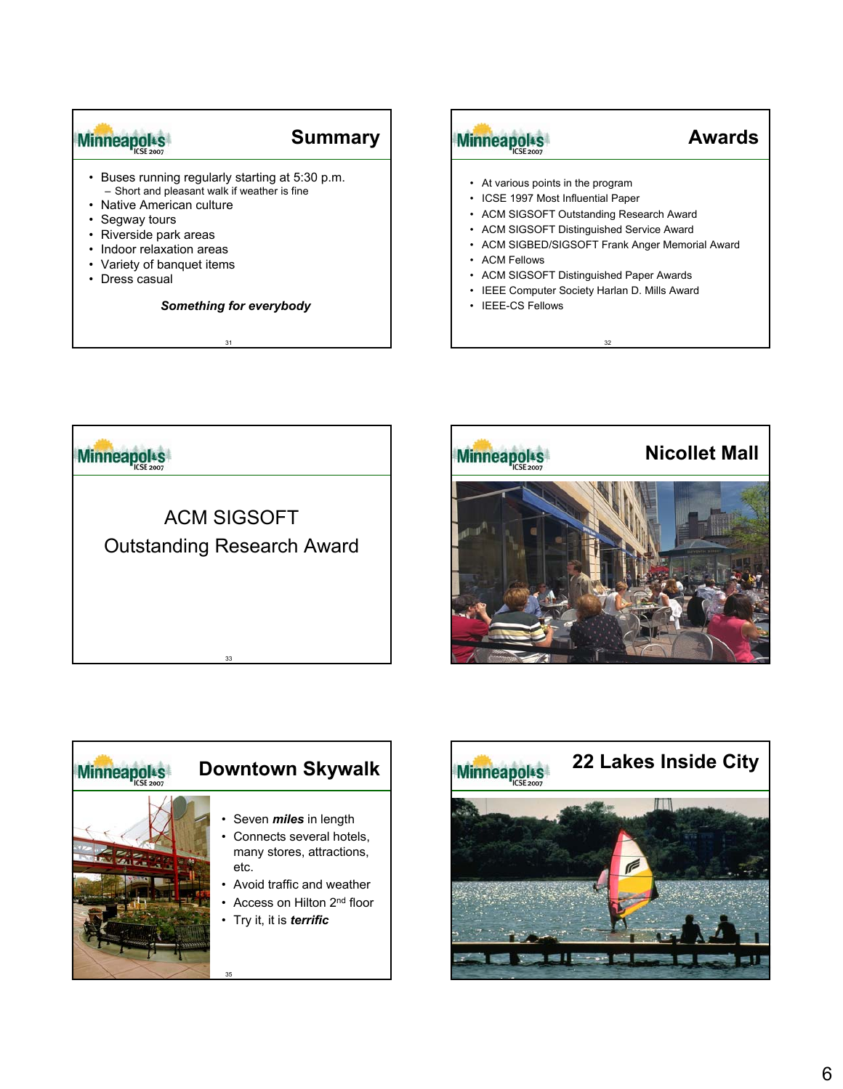## Minneapolts

#### **Summary**

- Buses running regularly starting at 5:30 p.m. – Short and pleasant walk if weather is fine
- Native American culture
- Segway tours
- Riverside park areas
- Indoor relaxation areas
- Variety of banquet items
- Dress casual

#### *Something for everybody*

31

# Minneapols

### **Awards**

- At various points in the program
- ICSE 1997 Most Influential Paper
- ACM SIGSOFT Outstanding Research Award
- ACM SIGSOFT Distinguished Service Award
- ACM SIGBED/SIGSOFT Frank Anger Memorial Award

32

- ACM Fellows
- ACM SIGSOFT Distinguished Paper Awards
- IEEE Computer Society Harlan D. Mills Award
- IEEE-CS Fellows